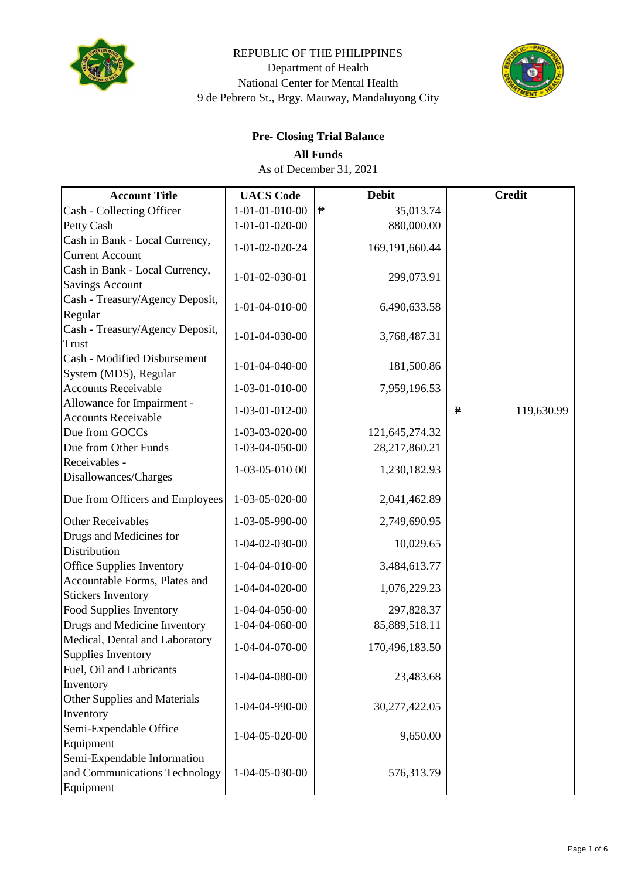

#### REPUBLIC OF THE PHILIPPINES Department of Health National Center for Mental Health 9 de Pebrero St., Brgy. Mauway, Mandaluyong City



## **Pre- Closing Trial Balance**

**All Funds**

As of December 31, 2021

| <b>Account Title</b>                                                      | <b>UACS</b> Code | <b>Debit</b>                          | <b>Credit</b>   |
|---------------------------------------------------------------------------|------------------|---------------------------------------|-----------------|
| Cash - Collecting Officer                                                 | 1-01-01-010-00   | $\pmb{\bar{\mathbb{P}}}$<br>35,013.74 |                 |
| Petty Cash                                                                | 1-01-01-020-00   | 880,000.00                            |                 |
| Cash in Bank - Local Currency,<br><b>Current Account</b>                  | 1-01-02-020-24   | 169,191,660.44                        |                 |
| Cash in Bank - Local Currency,<br><b>Savings Account</b>                  | 1-01-02-030-01   | 299,073.91                            |                 |
| Cash - Treasury/Agency Deposit,<br>Regular                                | 1-01-04-010-00   | 6,490,633.58                          |                 |
| Cash - Treasury/Agency Deposit,<br>Trust                                  | 1-01-04-030-00   | 3,768,487.31                          |                 |
| Cash - Modified Disbursement<br>System (MDS), Regular                     | 1-01-04-040-00   | 181,500.86                            |                 |
| <b>Accounts Receivable</b>                                                | 1-03-01-010-00   | 7,959,196.53                          |                 |
| Allowance for Impairment -<br><b>Accounts Receivable</b>                  | 1-03-01-012-00   |                                       | 119,630.99<br>₽ |
| Due from GOCCs                                                            | 1-03-03-020-00   | 121,645,274.32                        |                 |
| Due from Other Funds                                                      | 1-03-04-050-00   | 28,217,860.21                         |                 |
| Receivables -<br>Disallowances/Charges                                    | 1-03-05-010 00   | 1,230,182.93                          |                 |
| Due from Officers and Employees                                           | 1-03-05-020-00   | 2,041,462.89                          |                 |
| <b>Other Receivables</b>                                                  | 1-03-05-990-00   | 2,749,690.95                          |                 |
| Drugs and Medicines for<br>Distribution                                   | 1-04-02-030-00   | 10,029.65                             |                 |
| <b>Office Supplies Inventory</b>                                          | 1-04-04-010-00   | 3,484,613.77                          |                 |
| Accountable Forms, Plates and<br><b>Stickers Inventory</b>                | 1-04-04-020-00   | 1,076,229.23                          |                 |
| Food Supplies Inventory                                                   | 1-04-04-050-00   | 297,828.37                            |                 |
| Drugs and Medicine Inventory                                              | 1-04-04-060-00   | 85,889,518.11                         |                 |
| Medical, Dental and Laboratory<br>Supplies Inventory                      | 1-04-04-070-00   | 170,496,183.50                        |                 |
| Fuel, Oil and Lubricants<br>Inventory                                     | 1-04-04-080-00   | 23,483.68                             |                 |
| Other Supplies and Materials<br>Inventory                                 | 1-04-04-990-00   | 30,277,422.05                         |                 |
| Semi-Expendable Office<br>Equipment                                       | 1-04-05-020-00   | 9,650.00                              |                 |
| Semi-Expendable Information<br>and Communications Technology<br>Equipment | 1-04-05-030-00   | 576,313.79                            |                 |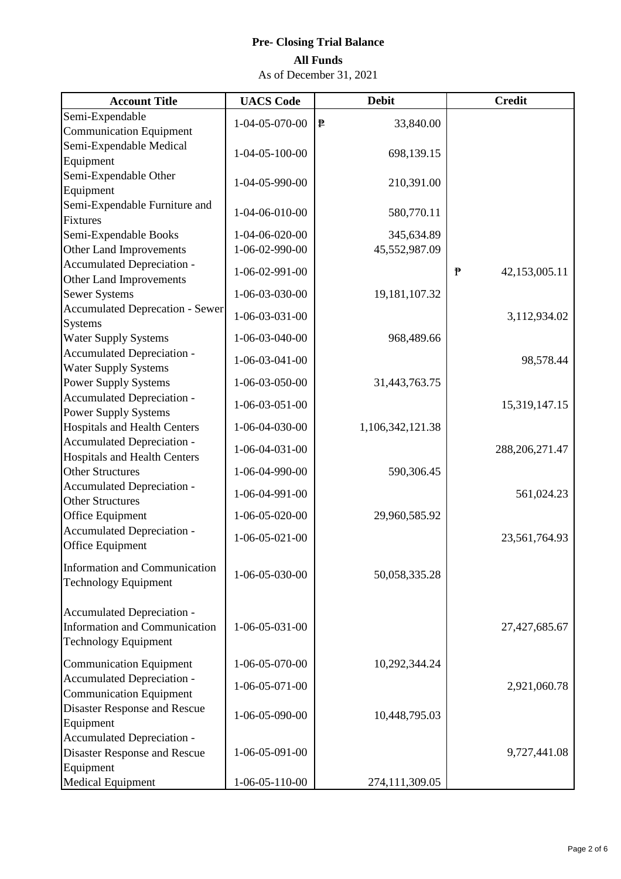# **All Funds Pre- Closing Trial Balance**

As of December 31, 2021

| Semi-Expendable<br>1-04-05-070-00<br>₱<br>33,840.00<br><b>Communication Equipment</b><br>Semi-Expendable Medical<br>$1 - 04 - 05 - 100 - 00$<br>698,139.15<br>Equipment<br>Semi-Expendable Other<br>1-04-05-990-00<br>210,391.00<br>Equipment<br>Semi-Expendable Furniture and<br>1-04-06-010-00<br>580,770.11<br>Fixtures<br>Semi-Expendable Books<br>1-04-06-020-00<br>345,634.89<br>Other Land Improvements<br>1-06-02-990-00<br>45,552,987.09<br>Accumulated Depreciation -<br>1-06-02-991-00<br>$\mathbf{P}$<br>42,153,005.11<br>Other Land Improvements<br><b>Sewer Systems</b><br>1-06-03-030-00<br>19, 181, 107. 32<br><b>Accumulated Deprecation - Sewer</b><br>$1 - 06 - 03 - 031 - 00$<br>3,112,934.02<br><b>Systems</b><br><b>Water Supply Systems</b><br>1-06-03-040-00<br>968,489.66<br>Accumulated Depreciation -<br>$1 - 06 - 03 - 041 - 00$<br>98,578.44<br><b>Water Supply Systems</b><br><b>Power Supply Systems</b><br>1-06-03-050-00<br>31,443,763.75<br>Accumulated Depreciation -<br>$1-06-03-051-00$<br>15,319,147.15<br><b>Power Supply Systems</b><br><b>Hospitals and Health Centers</b><br>1-06-04-030-00<br>1,106,342,121.38<br>Accumulated Depreciation -<br>$1 - 06 - 04 - 031 - 00$<br>288, 206, 271.47<br><b>Hospitals and Health Centers</b><br><b>Other Structures</b><br>590,306.45<br>1-06-04-990-00 |
|-------------------------------------------------------------------------------------------------------------------------------------------------------------------------------------------------------------------------------------------------------------------------------------------------------------------------------------------------------------------------------------------------------------------------------------------------------------------------------------------------------------------------------------------------------------------------------------------------------------------------------------------------------------------------------------------------------------------------------------------------------------------------------------------------------------------------------------------------------------------------------------------------------------------------------------------------------------------------------------------------------------------------------------------------------------------------------------------------------------------------------------------------------------------------------------------------------------------------------------------------------------------------------------------------------------------------------------------|
|                                                                                                                                                                                                                                                                                                                                                                                                                                                                                                                                                                                                                                                                                                                                                                                                                                                                                                                                                                                                                                                                                                                                                                                                                                                                                                                                           |
|                                                                                                                                                                                                                                                                                                                                                                                                                                                                                                                                                                                                                                                                                                                                                                                                                                                                                                                                                                                                                                                                                                                                                                                                                                                                                                                                           |
|                                                                                                                                                                                                                                                                                                                                                                                                                                                                                                                                                                                                                                                                                                                                                                                                                                                                                                                                                                                                                                                                                                                                                                                                                                                                                                                                           |
|                                                                                                                                                                                                                                                                                                                                                                                                                                                                                                                                                                                                                                                                                                                                                                                                                                                                                                                                                                                                                                                                                                                                                                                                                                                                                                                                           |
|                                                                                                                                                                                                                                                                                                                                                                                                                                                                                                                                                                                                                                                                                                                                                                                                                                                                                                                                                                                                                                                                                                                                                                                                                                                                                                                                           |
|                                                                                                                                                                                                                                                                                                                                                                                                                                                                                                                                                                                                                                                                                                                                                                                                                                                                                                                                                                                                                                                                                                                                                                                                                                                                                                                                           |
|                                                                                                                                                                                                                                                                                                                                                                                                                                                                                                                                                                                                                                                                                                                                                                                                                                                                                                                                                                                                                                                                                                                                                                                                                                                                                                                                           |
|                                                                                                                                                                                                                                                                                                                                                                                                                                                                                                                                                                                                                                                                                                                                                                                                                                                                                                                                                                                                                                                                                                                                                                                                                                                                                                                                           |
|                                                                                                                                                                                                                                                                                                                                                                                                                                                                                                                                                                                                                                                                                                                                                                                                                                                                                                                                                                                                                                                                                                                                                                                                                                                                                                                                           |
|                                                                                                                                                                                                                                                                                                                                                                                                                                                                                                                                                                                                                                                                                                                                                                                                                                                                                                                                                                                                                                                                                                                                                                                                                                                                                                                                           |
|                                                                                                                                                                                                                                                                                                                                                                                                                                                                                                                                                                                                                                                                                                                                                                                                                                                                                                                                                                                                                                                                                                                                                                                                                                                                                                                                           |
|                                                                                                                                                                                                                                                                                                                                                                                                                                                                                                                                                                                                                                                                                                                                                                                                                                                                                                                                                                                                                                                                                                                                                                                                                                                                                                                                           |
|                                                                                                                                                                                                                                                                                                                                                                                                                                                                                                                                                                                                                                                                                                                                                                                                                                                                                                                                                                                                                                                                                                                                                                                                                                                                                                                                           |
|                                                                                                                                                                                                                                                                                                                                                                                                                                                                                                                                                                                                                                                                                                                                                                                                                                                                                                                                                                                                                                                                                                                                                                                                                                                                                                                                           |
|                                                                                                                                                                                                                                                                                                                                                                                                                                                                                                                                                                                                                                                                                                                                                                                                                                                                                                                                                                                                                                                                                                                                                                                                                                                                                                                                           |
|                                                                                                                                                                                                                                                                                                                                                                                                                                                                                                                                                                                                                                                                                                                                                                                                                                                                                                                                                                                                                                                                                                                                                                                                                                                                                                                                           |
|                                                                                                                                                                                                                                                                                                                                                                                                                                                                                                                                                                                                                                                                                                                                                                                                                                                                                                                                                                                                                                                                                                                                                                                                                                                                                                                                           |
|                                                                                                                                                                                                                                                                                                                                                                                                                                                                                                                                                                                                                                                                                                                                                                                                                                                                                                                                                                                                                                                                                                                                                                                                                                                                                                                                           |
|                                                                                                                                                                                                                                                                                                                                                                                                                                                                                                                                                                                                                                                                                                                                                                                                                                                                                                                                                                                                                                                                                                                                                                                                                                                                                                                                           |
|                                                                                                                                                                                                                                                                                                                                                                                                                                                                                                                                                                                                                                                                                                                                                                                                                                                                                                                                                                                                                                                                                                                                                                                                                                                                                                                                           |
|                                                                                                                                                                                                                                                                                                                                                                                                                                                                                                                                                                                                                                                                                                                                                                                                                                                                                                                                                                                                                                                                                                                                                                                                                                                                                                                                           |
|                                                                                                                                                                                                                                                                                                                                                                                                                                                                                                                                                                                                                                                                                                                                                                                                                                                                                                                                                                                                                                                                                                                                                                                                                                                                                                                                           |
|                                                                                                                                                                                                                                                                                                                                                                                                                                                                                                                                                                                                                                                                                                                                                                                                                                                                                                                                                                                                                                                                                                                                                                                                                                                                                                                                           |
| Accumulated Depreciation -<br>1-06-04-991-00<br>561,024.23                                                                                                                                                                                                                                                                                                                                                                                                                                                                                                                                                                                                                                                                                                                                                                                                                                                                                                                                                                                                                                                                                                                                                                                                                                                                                |
| <b>Other Structures</b>                                                                                                                                                                                                                                                                                                                                                                                                                                                                                                                                                                                                                                                                                                                                                                                                                                                                                                                                                                                                                                                                                                                                                                                                                                                                                                                   |
| Office Equipment<br>$1-06-05-020-00$<br>29,960,585.92                                                                                                                                                                                                                                                                                                                                                                                                                                                                                                                                                                                                                                                                                                                                                                                                                                                                                                                                                                                                                                                                                                                                                                                                                                                                                     |
| Accumulated Depreciation -<br>$1 - 06 - 05 - 021 - 00$<br>23,561,764.93                                                                                                                                                                                                                                                                                                                                                                                                                                                                                                                                                                                                                                                                                                                                                                                                                                                                                                                                                                                                                                                                                                                                                                                                                                                                   |
| Office Equipment                                                                                                                                                                                                                                                                                                                                                                                                                                                                                                                                                                                                                                                                                                                                                                                                                                                                                                                                                                                                                                                                                                                                                                                                                                                                                                                          |
| <b>Information and Communication</b><br>$1 - 06 - 05 - 030 - 00$<br>50,058,335.28                                                                                                                                                                                                                                                                                                                                                                                                                                                                                                                                                                                                                                                                                                                                                                                                                                                                                                                                                                                                                                                                                                                                                                                                                                                         |
| <b>Technology Equipment</b>                                                                                                                                                                                                                                                                                                                                                                                                                                                                                                                                                                                                                                                                                                                                                                                                                                                                                                                                                                                                                                                                                                                                                                                                                                                                                                               |
|                                                                                                                                                                                                                                                                                                                                                                                                                                                                                                                                                                                                                                                                                                                                                                                                                                                                                                                                                                                                                                                                                                                                                                                                                                                                                                                                           |
| Accumulated Depreciation -                                                                                                                                                                                                                                                                                                                                                                                                                                                                                                                                                                                                                                                                                                                                                                                                                                                                                                                                                                                                                                                                                                                                                                                                                                                                                                                |
| Information and Communication<br>$1 - 06 - 05 - 031 - 00$<br>27,427,685.67                                                                                                                                                                                                                                                                                                                                                                                                                                                                                                                                                                                                                                                                                                                                                                                                                                                                                                                                                                                                                                                                                                                                                                                                                                                                |
| <b>Technology Equipment</b>                                                                                                                                                                                                                                                                                                                                                                                                                                                                                                                                                                                                                                                                                                                                                                                                                                                                                                                                                                                                                                                                                                                                                                                                                                                                                                               |
| 1-06-05-070-00<br><b>Communication Equipment</b><br>10,292,344.24                                                                                                                                                                                                                                                                                                                                                                                                                                                                                                                                                                                                                                                                                                                                                                                                                                                                                                                                                                                                                                                                                                                                                                                                                                                                         |
| Accumulated Depreciation -<br>$1 - 06 - 05 - 071 - 00$<br>2,921,060.78                                                                                                                                                                                                                                                                                                                                                                                                                                                                                                                                                                                                                                                                                                                                                                                                                                                                                                                                                                                                                                                                                                                                                                                                                                                                    |
| <b>Communication Equipment</b>                                                                                                                                                                                                                                                                                                                                                                                                                                                                                                                                                                                                                                                                                                                                                                                                                                                                                                                                                                                                                                                                                                                                                                                                                                                                                                            |
| <b>Disaster Response and Rescue</b><br>1-06-05-090-00<br>10,448,795.03                                                                                                                                                                                                                                                                                                                                                                                                                                                                                                                                                                                                                                                                                                                                                                                                                                                                                                                                                                                                                                                                                                                                                                                                                                                                    |
| Equipment                                                                                                                                                                                                                                                                                                                                                                                                                                                                                                                                                                                                                                                                                                                                                                                                                                                                                                                                                                                                                                                                                                                                                                                                                                                                                                                                 |
| Accumulated Depreciation -<br><b>Disaster Response and Rescue</b><br>$1-06-05-091-00$<br>9,727,441.08                                                                                                                                                                                                                                                                                                                                                                                                                                                                                                                                                                                                                                                                                                                                                                                                                                                                                                                                                                                                                                                                                                                                                                                                                                     |
| Equipment                                                                                                                                                                                                                                                                                                                                                                                                                                                                                                                                                                                                                                                                                                                                                                                                                                                                                                                                                                                                                                                                                                                                                                                                                                                                                                                                 |
| Medical Equipment<br>$1-06-05-110-00$<br>274,111,309.05                                                                                                                                                                                                                                                                                                                                                                                                                                                                                                                                                                                                                                                                                                                                                                                                                                                                                                                                                                                                                                                                                                                                                                                                                                                                                   |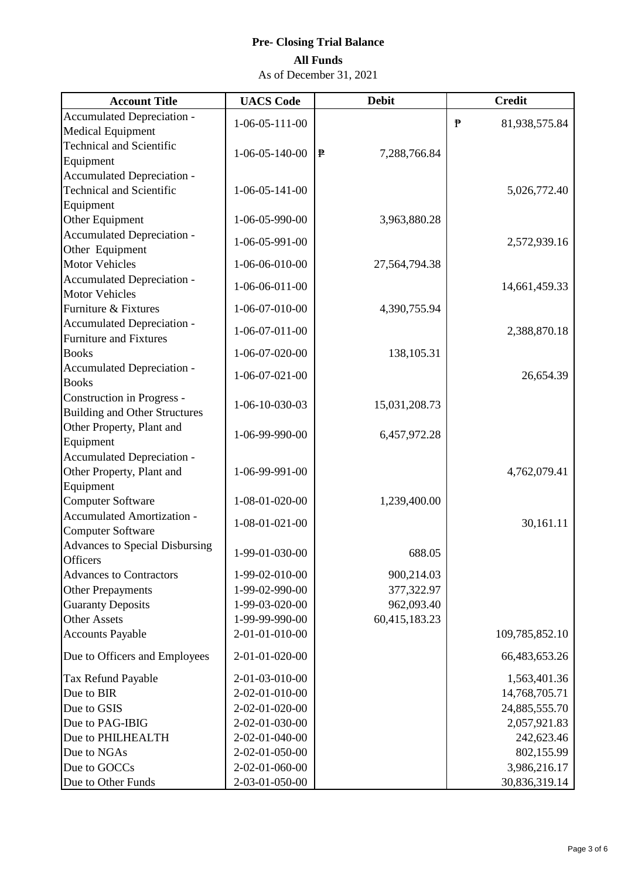| <b>Account Title</b>                          | <b>UACS</b> Code         | <b>Debit</b>      | <b>Credit</b>                 |
|-----------------------------------------------|--------------------------|-------------------|-------------------------------|
| Accumulated Depreciation -                    | $1-06-05-111-00$         |                   | $\mathbf{P}$<br>81,938,575.84 |
| <b>Medical Equipment</b>                      |                          |                   |                               |
| <b>Technical and Scientific</b>               | $1-06-05-140-00$         | ₱<br>7,288,766.84 |                               |
| Equipment                                     |                          |                   |                               |
| <b>Accumulated Depreciation -</b>             |                          |                   |                               |
| <b>Technical and Scientific</b>               | $1-06-05-141-00$         |                   | 5,026,772.40                  |
| Equipment                                     | 1-06-05-990-00           |                   |                               |
| Other Equipment<br>Accumulated Depreciation - |                          | 3,963,880.28      |                               |
| Other Equipment                               | 1-06-05-991-00           |                   | 2,572,939.16                  |
| <b>Motor Vehicles</b>                         | 1-06-06-010-00           | 27,564,794.38     |                               |
| Accumulated Depreciation -                    |                          |                   |                               |
| <b>Motor Vehicles</b>                         | $1-06-06-011-00$         |                   | 14,661,459.33                 |
| Furniture & Fixtures                          | 1-06-07-010-00           | 4,390,755.94      |                               |
| Accumulated Depreciation -                    |                          |                   |                               |
| <b>Furniture and Fixtures</b>                 | $1-06-07-011-00$         |                   | 2,388,870.18                  |
| <b>Books</b>                                  | 1-06-07-020-00           | 138,105.31        |                               |
| Accumulated Depreciation -                    | $1 - 06 - 07 - 021 - 00$ |                   | 26,654.39                     |
| <b>Books</b>                                  |                          |                   |                               |
| <b>Construction in Progress -</b>             | 1-06-10-030-03           | 15,031,208.73     |                               |
| <b>Building and Other Structures</b>          |                          |                   |                               |
| Other Property, Plant and                     | 1-06-99-990-00           | 6,457,972.28      |                               |
| Equipment                                     |                          |                   |                               |
| Accumulated Depreciation -                    | 1-06-99-991-00           |                   |                               |
| Other Property, Plant and<br>Equipment        |                          |                   | 4,762,079.41                  |
| <b>Computer Software</b>                      | 1-08-01-020-00           | 1,239,400.00      |                               |
| <b>Accumulated Amortization -</b>             |                          |                   |                               |
| <b>Computer Software</b>                      | $1 - 08 - 01 - 021 - 00$ |                   | 30,161.11                     |
| <b>Advances to Special Disbursing</b>         |                          |                   |                               |
| <b>Officers</b>                               | 1-99-01-030-00           | 688.05            |                               |
| <b>Advances to Contractors</b>                | 1-99-02-010-00           | 900,214.03        |                               |
| <b>Other Prepayments</b>                      | 1-99-02-990-00           | 377,322.97        |                               |
| <b>Guaranty Deposits</b>                      | 1-99-03-020-00           | 962,093.40        |                               |
| <b>Other Assets</b>                           | 1-99-99-990-00           | 60,415,183.23     |                               |
| <b>Accounts Payable</b>                       | 2-01-01-010-00           |                   | 109,785,852.10                |
| Due to Officers and Employees                 | 2-01-01-020-00           |                   | 66,483,653.26                 |
| Tax Refund Payable                            | 2-01-03-010-00           |                   | 1,563,401.36                  |
| Due to BIR                                    | 2-02-01-010-00           |                   | 14,768,705.71                 |
| Due to GSIS                                   | 2-02-01-020-00           |                   | 24,885,555.70                 |
| Due to PAG-IBIG                               | 2-02-01-030-00           |                   | 2,057,921.83                  |
| Due to PHILHEALTH                             | 2-02-01-040-00           |                   | 242,623.46                    |
| Due to NGAs                                   | 2-02-01-050-00           |                   | 802,155.99                    |
| Due to GOCCs                                  | 2-02-01-060-00           |                   | 3,986,216.17                  |
| Due to Other Funds                            | 2-03-01-050-00           |                   | 30,836,319.14                 |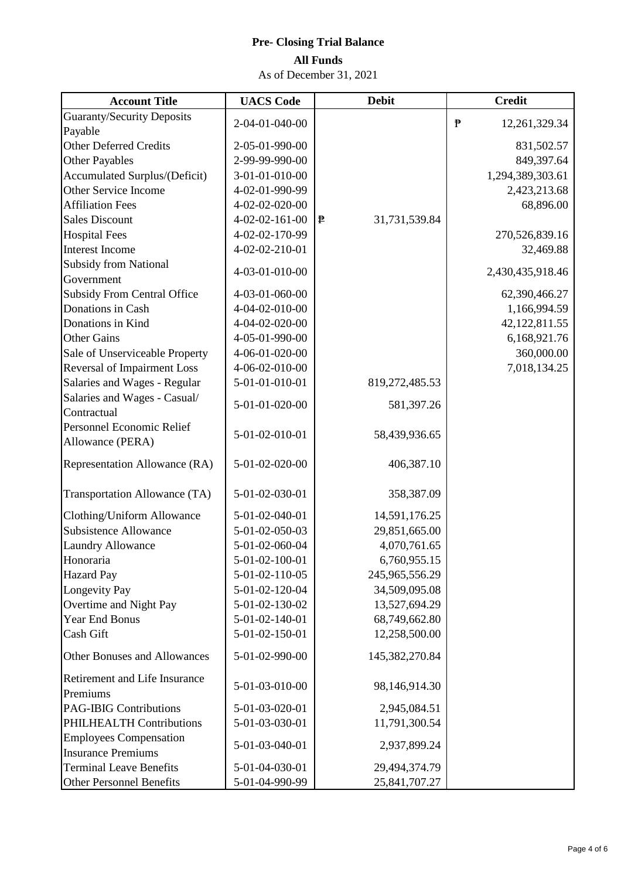| <b>Account Title</b>                                       | <b>UACS</b> Code | <b>Debit</b>       | <b>Credit</b>                 |
|------------------------------------------------------------|------------------|--------------------|-------------------------------|
| <b>Guaranty/Security Deposits</b>                          | 2-04-01-040-00   |                    | $\mathbf{P}$<br>12,261,329.34 |
| Payable                                                    |                  |                    |                               |
| <b>Other Deferred Credits</b>                              | 2-05-01-990-00   |                    | 831,502.57                    |
| <b>Other Payables</b>                                      | 2-99-99-990-00   |                    | 849,397.64                    |
| <b>Accumulated Surplus/(Deficit)</b>                       | 3-01-01-010-00   |                    | 1,294,389,303.61              |
| <b>Other Service Income</b>                                | 4-02-01-990-99   |                    | 2,423,213.68                  |
| <b>Affiliation Fees</b>                                    | 4-02-02-020-00   |                    | 68,896.00                     |
| <b>Sales Discount</b>                                      | 4-02-02-161-00   | ₱<br>31,731,539.84 |                               |
| <b>Hospital Fees</b>                                       | 4-02-02-170-99   |                    | 270,526,839.16                |
| Interest Income                                            | 4-02-02-210-01   |                    | 32,469.88                     |
| <b>Subsidy from National</b>                               | 4-03-01-010-00   |                    | 2,430,435,918.46              |
| Government                                                 |                  |                    |                               |
| <b>Subsidy From Central Office</b>                         | 4-03-01-060-00   |                    | 62,390,466.27                 |
| Donations in Cash                                          | 4-04-02-010-00   |                    | 1,166,994.59                  |
| Donations in Kind                                          | 4-04-02-020-00   |                    | 42,122,811.55                 |
| <b>Other Gains</b>                                         | 4-05-01-990-00   |                    | 6,168,921.76                  |
| Sale of Unserviceable Property                             | 4-06-01-020-00   |                    | 360,000.00                    |
| <b>Reversal of Impairment Loss</b>                         | 4-06-02-010-00   |                    | 7,018,134.25                  |
| Salaries and Wages - Regular                               | 5-01-01-010-01   | 819,272,485.53     |                               |
| Salaries and Wages - Casual/                               | 5-01-01-020-00   | 581,397.26         |                               |
| Contractual                                                |                  |                    |                               |
| Personnel Economic Relief                                  | 5-01-02-010-01   | 58,439,936.65      |                               |
| Allowance (PERA)                                           |                  |                    |                               |
| Representation Allowance (RA)                              | 5-01-02-020-00   | 406,387.10         |                               |
|                                                            |                  |                    |                               |
| Transportation Allowance (TA)                              | 5-01-02-030-01   | 358,387.09         |                               |
| Clothing/Uniform Allowance                                 | 5-01-02-040-01   | 14,591,176.25      |                               |
| <b>Subsistence Allowance</b>                               | 5-01-02-050-03   | 29,851,665.00      |                               |
| Laundry Allowance                                          | 5-01-02-060-04   | 4,070,761.65       |                               |
| Honoraria                                                  | 5-01-02-100-01   | 6,760,955.15       |                               |
| <b>Hazard Pay</b>                                          | 5-01-02-110-05   | 245,965,556.29     |                               |
| Longevity Pay                                              | 5-01-02-120-04   | 34,509,095.08      |                               |
| Overtime and Night Pay                                     | 5-01-02-130-02   | 13,527,694.29      |                               |
| <b>Year End Bonus</b>                                      | 5-01-02-140-01   | 68,749,662.80      |                               |
| Cash Gift                                                  | 5-01-02-150-01   | 12,258,500.00      |                               |
| <b>Other Bonuses and Allowances</b>                        | 5-01-02-990-00   | 145,382,270.84     |                               |
| Retirement and Life Insurance<br>Premiums                  | 5-01-03-010-00   | 98,146,914.30      |                               |
| <b>PAG-IBIG Contributions</b>                              | 5-01-03-020-01   | 2,945,084.51       |                               |
| PHILHEALTH Contributions                                   | 5-01-03-030-01   | 11,791,300.54      |                               |
| <b>Employees Compensation</b><br><b>Insurance Premiums</b> | 5-01-03-040-01   | 2,937,899.24       |                               |
| <b>Terminal Leave Benefits</b>                             | 5-01-04-030-01   | 29,494,374.79      |                               |
| <b>Other Personnel Benefits</b>                            | 5-01-04-990-99   | 25,841,707.27      |                               |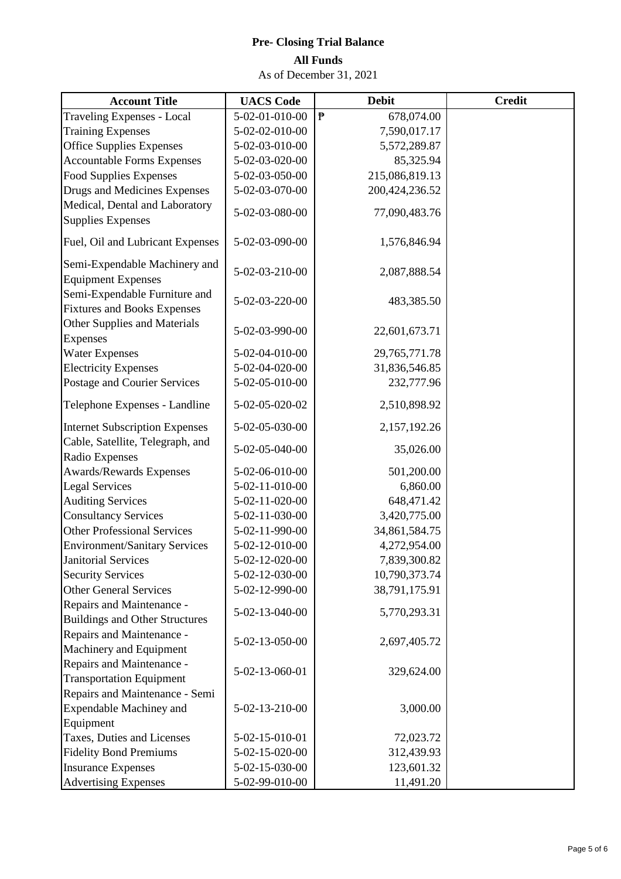| <b>Account Title</b>                                 | <b>UACS</b> Code | <b>Debit</b>                           | <b>Credit</b> |
|------------------------------------------------------|------------------|----------------------------------------|---------------|
| <b>Traveling Expenses - Local</b>                    | 5-02-01-010-00   | $\pmb{\bar{\mathbb{P}}}$<br>678,074.00 |               |
| <b>Training Expenses</b>                             | 5-02-02-010-00   | 7,590,017.17                           |               |
| <b>Office Supplies Expenses</b>                      | 5-02-03-010-00   | 5,572,289.87                           |               |
| <b>Accountable Forms Expenses</b>                    | 5-02-03-020-00   | 85,325.94                              |               |
| <b>Food Supplies Expenses</b>                        | 5-02-03-050-00   | 215,086,819.13                         |               |
| Drugs and Medicines Expenses                         | 5-02-03-070-00   | 200,424,236.52                         |               |
| Medical, Dental and Laboratory                       |                  |                                        |               |
| <b>Supplies Expenses</b>                             | 5-02-03-080-00   | 77,090,483.76                          |               |
| Fuel, Oil and Lubricant Expenses                     | 5-02-03-090-00   | 1,576,846.94                           |               |
| Semi-Expendable Machinery and                        |                  |                                        |               |
| <b>Equipment Expenses</b>                            | 5-02-03-210-00   | 2,087,888.54                           |               |
| Semi-Expendable Furniture and                        |                  |                                        |               |
| <b>Fixtures and Books Expenses</b>                   | 5-02-03-220-00   | 483,385.50                             |               |
| Other Supplies and Materials                         |                  |                                        |               |
| <b>Expenses</b>                                      | 5-02-03-990-00   | 22,601,673.71                          |               |
| <b>Water Expenses</b>                                | 5-02-04-010-00   | 29,765,771.78                          |               |
| <b>Electricity Expenses</b>                          | 5-02-04-020-00   | 31,836,546.85                          |               |
| Postage and Courier Services                         | 5-02-05-010-00   | 232,777.96                             |               |
| Telephone Expenses - Landline                        | 5-02-05-020-02   | 2,510,898.92                           |               |
| <b>Internet Subscription Expenses</b>                | 5-02-05-030-00   | 2,157,192.26                           |               |
| Cable, Satellite, Telegraph, and                     | 5-02-05-040-00   | 35,026.00                              |               |
| Radio Expenses                                       | 5-02-06-010-00   | 501,200.00                             |               |
| Awards/Rewards Expenses<br><b>Legal Services</b>     | 5-02-11-010-00   | 6,860.00                               |               |
| <b>Auditing Services</b>                             | 5-02-11-020-00   | 648,471.42                             |               |
| <b>Consultancy Services</b>                          | 5-02-11-030-00   | 3,420,775.00                           |               |
| <b>Other Professional Services</b>                   | 5-02-11-990-00   | 34,861,584.75                          |               |
| <b>Environment/Sanitary Services</b>                 | 5-02-12-010-00   | 4,272,954.00                           |               |
| <b>Janitorial Services</b>                           | 5-02-12-020-00   | 7,839,300.82                           |               |
| <b>Security Services</b>                             | 5-02-12-030-00   | 10,790,373.74                          |               |
| <b>Other General Services</b>                        | 5-02-12-990-00   | 38,791,175.91                          |               |
| Repairs and Maintenance -                            |                  |                                        |               |
| <b>Buildings and Other Structures</b>                | 5-02-13-040-00   | 5,770,293.31                           |               |
| Repairs and Maintenance -<br>Machinery and Equipment | 5-02-13-050-00   | 2,697,405.72                           |               |
| Repairs and Maintenance -                            |                  |                                        |               |
| <b>Transportation Equipment</b>                      | 5-02-13-060-01   | 329,624.00                             |               |
| Repairs and Maintenance - Semi                       |                  |                                        |               |
| <b>Expendable Machiney and</b>                       | 5-02-13-210-00   | 3,000.00                               |               |
| Equipment                                            |                  |                                        |               |
| Taxes, Duties and Licenses                           | 5-02-15-010-01   | 72,023.72                              |               |
| <b>Fidelity Bond Premiums</b>                        | 5-02-15-020-00   | 312,439.93                             |               |
| <b>Insurance Expenses</b>                            | 5-02-15-030-00   | 123,601.32                             |               |
| <b>Advertising Expenses</b>                          | 5-02-99-010-00   | 11,491.20                              |               |